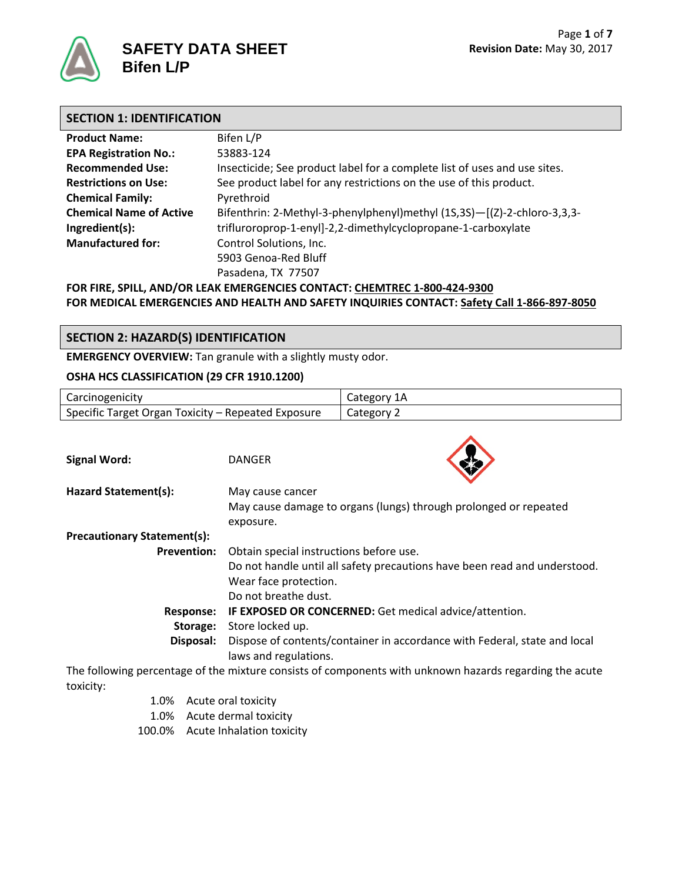

## **SECTION 1: IDENTIFICATION**

| <b>Product Name:</b>           | Bifen L/P                                                                 |
|--------------------------------|---------------------------------------------------------------------------|
| <b>EPA Registration No.:</b>   | 53883-124                                                                 |
| <b>Recommended Use:</b>        | Insecticide; See product label for a complete list of uses and use sites. |
| <b>Restrictions on Use:</b>    | See product label for any restrictions on the use of this product.        |
| <b>Chemical Family:</b>        | Pyrethroid                                                                |
| <b>Chemical Name of Active</b> | Bifenthrin: 2-Methyl-3-phenylphenyl)methyl (1S,3S)-[(Z)-2-chloro-3,3,3-   |
| Ingredient(s):                 | trifluroroprop-1-enyl]-2,2-dimethylcyclopropane-1-carboxylate             |
| <b>Manufactured for:</b>       | Control Solutions, Inc.                                                   |
|                                | 5903 Genoa-Red Bluff                                                      |
|                                | Pasadena, TX 77507                                                        |
|                                | FOR FIRE, SPILL, AND/OR LEAK EMERGENCIES CONTACT: CHEMTREC 1-800-424-9300 |

**FOR MEDICAL EMERGENCIES AND HEALTH AND SAFETY INQUIRIES CONTACT: Safety Call 1-866-897-8050**

# **SECTION 2: HAZARD(S) IDENTIFICATION**

**EMERGENCY OVERVIEW:** Tan granule with a slightly musty odor.

### **OSHA HCS CLASSIFICATION (29 CFR 1910.1200)**

| Carcinogenicity                                                                                         |                                                                           | Category 1A                                                      |
|---------------------------------------------------------------------------------------------------------|---------------------------------------------------------------------------|------------------------------------------------------------------|
| Specific Target Organ Toxicity - Repeated Exposure                                                      |                                                                           | Category 2                                                       |
|                                                                                                         |                                                                           |                                                                  |
| <b>Signal Word:</b>                                                                                     | <b>DANGER</b>                                                             |                                                                  |
| Hazard Statement(s):                                                                                    | May cause cancer                                                          |                                                                  |
|                                                                                                         |                                                                           | May cause damage to organs (lungs) through prolonged or repeated |
|                                                                                                         | exposure.                                                                 |                                                                  |
| <b>Precautionary Statement(s):</b>                                                                      |                                                                           |                                                                  |
| <b>Prevention:</b>                                                                                      | Obtain special instructions before use.                                   |                                                                  |
|                                                                                                         | Do not handle until all safety precautions have been read and understood. |                                                                  |
|                                                                                                         | Wear face protection.                                                     |                                                                  |
|                                                                                                         | Do not breathe dust.                                                      |                                                                  |
| <b>Response:</b>                                                                                        |                                                                           | IF EXPOSED OR CONCERNED: Get medical advice/attention.           |
| Storage:                                                                                                | Store locked up.                                                          |                                                                  |
| Disposal:                                                                                               | Dispose of contents/container in accordance with Federal, state and local |                                                                  |
|                                                                                                         | laws and regulations.                                                     |                                                                  |
| The following percentage of the mixture consists of components with unknown hazards regarding the acute |                                                                           |                                                                  |

toxicity:

- 1.0% Acute oral toxicity
- 1.0% Acute dermal toxicity
- 100.0% Acute Inhalation toxicity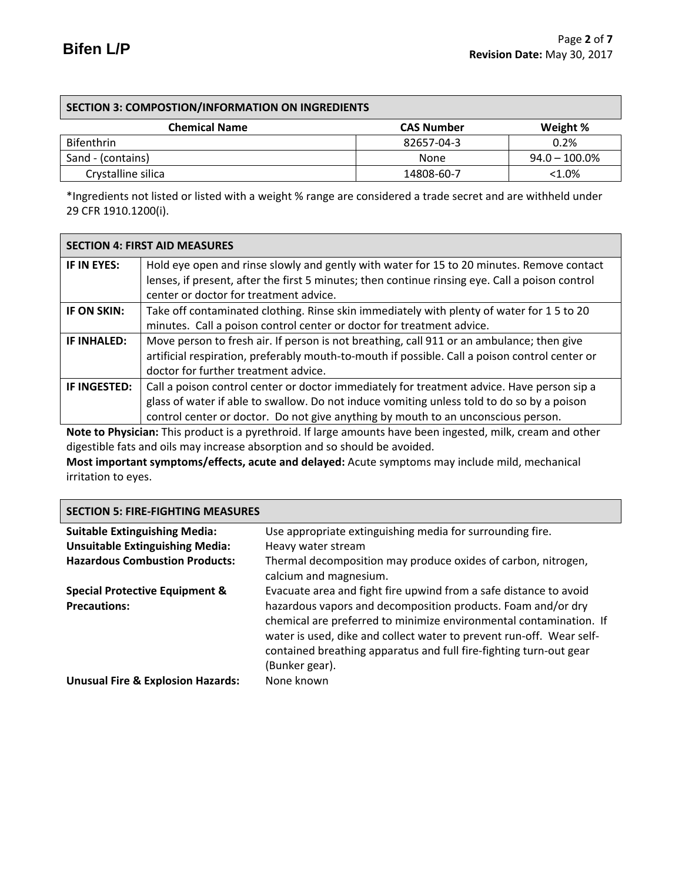## **SECTION 3: COMPOSTION/INFORMATION ON INGREDIENTS**

| <b>Chemical Name</b> | <b>CAS Number</b> | Weight %         |
|----------------------|-------------------|------------------|
| <b>Bifenthrin</b>    | 82657-04-3        | 0.2%             |
| Sand - (contains)    | None              | $94.0 - 100.0\%$ |
| Crystalline silica   | 14808-60-7        | $< 1.0\%$        |

\*Ingredients not listed or listed with a weight % range are considered a trade secret and are withheld under 29 CFR 1910.1200(i).

|              | <b>SECTION 4: FIRST AID MEASURES</b>                                                            |
|--------------|-------------------------------------------------------------------------------------------------|
| IF IN EYES:  | Hold eye open and rinse slowly and gently with water for 15 to 20 minutes. Remove contact       |
|              | lenses, if present, after the first 5 minutes; then continue rinsing eye. Call a poison control |
|              | center or doctor for treatment advice.                                                          |
| IF ON SKIN:  | Take off contaminated clothing. Rinse skin immediately with plenty of water for 15 to 20        |
|              | minutes. Call a poison control center or doctor for treatment advice.                           |
| IF INHALED:  | Move person to fresh air. If person is not breathing, call 911 or an ambulance; then give       |
|              | artificial respiration, preferably mouth-to-mouth if possible. Call a poison control center or  |
|              | doctor for further treatment advice.                                                            |
| IF INGESTED: | Call a poison control center or doctor immediately for treatment advice. Have person sip a      |
|              | glass of water if able to swallow. Do not induce vomiting unless told to do so by a poison      |
|              | control center or doctor. Do not give anything by mouth to an unconscious person.               |

**Note to Physician:** This product is a pyrethroid. If large amounts have been ingested, milk, cream and other digestible fats and oils may increase absorption and so should be avoided.

**Most important symptoms/effects, acute and delayed:** Acute symptoms may include mild, mechanical irritation to eyes.

### **SECTION 5: FIRE-FIGHTING MEASURES**

| <b>Suitable Extinguishing Media:</b>         | Use appropriate extinguishing media for surrounding fire.                                                                                                                                                                                                                                          |
|----------------------------------------------|----------------------------------------------------------------------------------------------------------------------------------------------------------------------------------------------------------------------------------------------------------------------------------------------------|
| <b>Unsuitable Extinguishing Media:</b>       | Heavy water stream                                                                                                                                                                                                                                                                                 |
| <b>Hazardous Combustion Products:</b>        | Thermal decomposition may produce oxides of carbon, nitrogen,<br>calcium and magnesium.                                                                                                                                                                                                            |
| <b>Special Protective Equipment &amp;</b>    | Evacuate area and fight fire upwind from a safe distance to avoid                                                                                                                                                                                                                                  |
| <b>Precautions:</b>                          | hazardous vapors and decomposition products. Foam and/or dry<br>chemical are preferred to minimize environmental contamination. If<br>water is used, dike and collect water to prevent run-off. Wear self-<br>contained breathing apparatus and full fire-fighting turn-out gear<br>(Bunker gear). |
| <b>Unusual Fire &amp; Explosion Hazards:</b> | None known                                                                                                                                                                                                                                                                                         |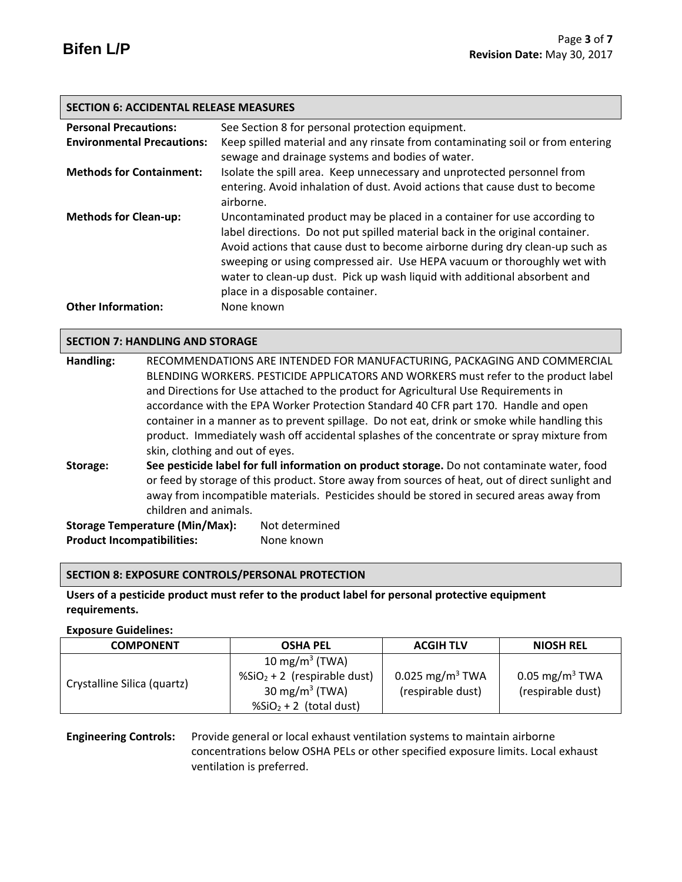### **SECTION 6: ACCIDENTAL RELEASE MEASURES**

| <b>Personal Precautions:</b>      | See Section 8 for personal protection equipment.                                                                                                                                                                                                                                                                                                                                                                                       |
|-----------------------------------|----------------------------------------------------------------------------------------------------------------------------------------------------------------------------------------------------------------------------------------------------------------------------------------------------------------------------------------------------------------------------------------------------------------------------------------|
| <b>Environmental Precautions:</b> | Keep spilled material and any rinsate from contaminating soil or from entering                                                                                                                                                                                                                                                                                                                                                         |
|                                   | sewage and drainage systems and bodies of water.                                                                                                                                                                                                                                                                                                                                                                                       |
| <b>Methods for Containment:</b>   | Isolate the spill area. Keep unnecessary and unprotected personnel from                                                                                                                                                                                                                                                                                                                                                                |
|                                   | entering. Avoid inhalation of dust. Avoid actions that cause dust to become<br>airborne.                                                                                                                                                                                                                                                                                                                                               |
| <b>Methods for Clean-up:</b>      | Uncontaminated product may be placed in a container for use according to<br>label directions. Do not put spilled material back in the original container.<br>Avoid actions that cause dust to become airborne during dry clean-up such as<br>sweeping or using compressed air. Use HEPA vacuum or thoroughly wet with<br>water to clean-up dust. Pick up wash liquid with additional absorbent and<br>place in a disposable container. |
| <b>Other Information:</b>         | None known                                                                                                                                                                                                                                                                                                                                                                                                                             |

### **SECTION 7: HANDLING AND STORAGE**

| Handling:                                       | RECOMMENDATIONS ARE INTENDED FOR MANUFACTURING, PACKAGING AND COMMERCIAL                    |                                                                                                 |  |
|-------------------------------------------------|---------------------------------------------------------------------------------------------|-------------------------------------------------------------------------------------------------|--|
|                                                 |                                                                                             | BLENDING WORKERS. PESTICIDE APPLICATORS AND WORKERS must refer to the product label             |  |
|                                                 |                                                                                             | and Directions for Use attached to the product for Agricultural Use Requirements in             |  |
|                                                 |                                                                                             | accordance with the EPA Worker Protection Standard 40 CFR part 170. Handle and open             |  |
|                                                 |                                                                                             | container in a manner as to prevent spillage. Do not eat, drink or smoke while handling this    |  |
|                                                 |                                                                                             | product. Immediately wash off accidental splashes of the concentrate or spray mixture from      |  |
|                                                 | skin, clothing and out of eyes.                                                             |                                                                                                 |  |
| Storage:                                        | See pesticide label for full information on product storage. Do not contaminate water, food |                                                                                                 |  |
|                                                 |                                                                                             | or feed by storage of this product. Store away from sources of heat, out of direct sunlight and |  |
|                                                 |                                                                                             | away from incompatible materials. Pesticides should be stored in secured areas away from        |  |
|                                                 | children and animals.                                                                       |                                                                                                 |  |
|                                                 | <b>Storage Temperature (Min/Max):</b>                                                       | Not determined                                                                                  |  |
| <b>Product Incompatibilities:</b><br>None known |                                                                                             |                                                                                                 |  |

### **SECTION 8: EXPOSURE CONTROLS/PERSONAL PROTECTION**

# **Users of a pesticide product must refer to the product label for personal protective equipment requirements.**

### **Exposure Guidelines:**

| <b>COMPONENT</b>            | <b>OSHA PEL</b>                                                           | <b>ACGIH TLV</b>                                 | <b>NIOSH REL</b>                                |
|-----------------------------|---------------------------------------------------------------------------|--------------------------------------------------|-------------------------------------------------|
|                             | 10 mg/m <sup>3</sup> (TWA)                                                |                                                  |                                                 |
| Crystalline Silica (quartz) | $\frac{1}{2}$ SiO <sub>2</sub> + 2 (respirable dust)<br>30 mg/m $3$ (TWA) | 0.025 mg/m <sup>3</sup> TWA<br>(respirable dust) | 0.05 mg/m <sup>3</sup> TWA<br>(respirable dust) |
|                             | $\frac{1}{2}$ (total dust)                                                |                                                  |                                                 |

# **Engineering Controls:** Provide general or local exhaust ventilation systems to maintain airborne concentrations below OSHA PELs or other specified exposure limits. Local exhaust ventilation is preferred.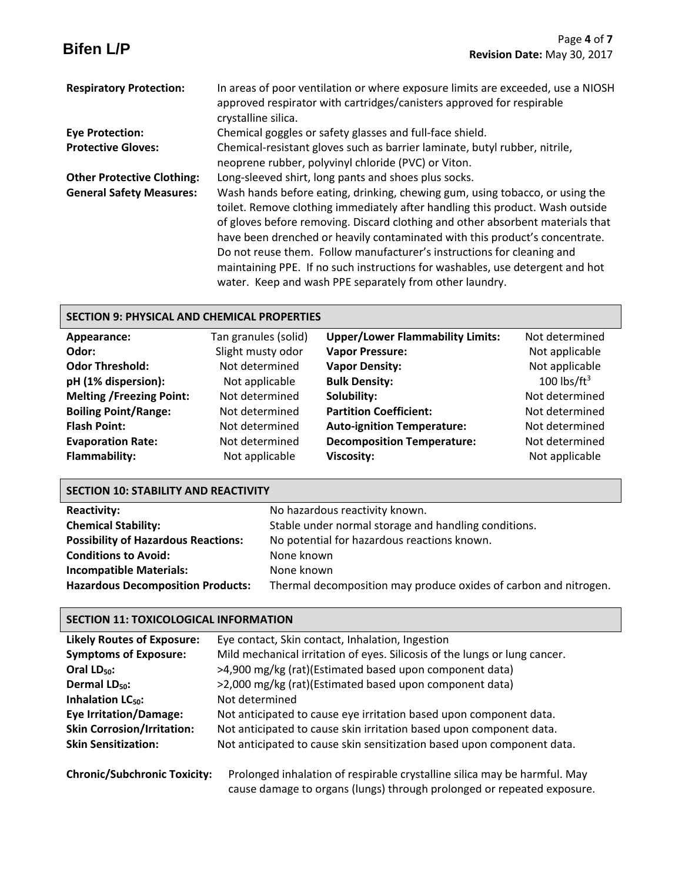|                                   | Page 4 of 7                                                                                                                                                                                                                                                                                                                                                                                                                                                                                                                                          |
|-----------------------------------|------------------------------------------------------------------------------------------------------------------------------------------------------------------------------------------------------------------------------------------------------------------------------------------------------------------------------------------------------------------------------------------------------------------------------------------------------------------------------------------------------------------------------------------------------|
| <b>Bifen L/P</b>                  | Revision Date: May 30, 2017                                                                                                                                                                                                                                                                                                                                                                                                                                                                                                                          |
| <b>Respiratory Protection:</b>    | In areas of poor ventilation or where exposure limits are exceeded, use a NIOSH<br>approved respirator with cartridges/canisters approved for respirable<br>crystalline silica.                                                                                                                                                                                                                                                                                                                                                                      |
| <b>Eye Protection:</b>            | Chemical goggles or safety glasses and full-face shield.                                                                                                                                                                                                                                                                                                                                                                                                                                                                                             |
| <b>Protective Gloves:</b>         | Chemical-resistant gloves such as barrier laminate, butyl rubber, nitrile,<br>neoprene rubber, polyvinyl chloride (PVC) or Viton.                                                                                                                                                                                                                                                                                                                                                                                                                    |
| <b>Other Protective Clothing:</b> | Long-sleeved shirt, long pants and shoes plus socks.                                                                                                                                                                                                                                                                                                                                                                                                                                                                                                 |
| <b>General Safety Measures:</b>   | Wash hands before eating, drinking, chewing gum, using tobacco, or using the<br>toilet. Remove clothing immediately after handling this product. Wash outside<br>of gloves before removing. Discard clothing and other absorbent materials that<br>have been drenched or heavily contaminated with this product's concentrate.<br>Do not reuse them. Follow manufacturer's instructions for cleaning and<br>maintaining PPE. If no such instructions for washables, use detergent and hot<br>water. Keep and wash PPE separately from other laundry. |

# **SECTION 9: PHYSICAL AND CHEMICAL PROPERTIES**

| Appearance:                     | Tan granules (solid) | <b>Upper/Lower Flammability Limits:</b> | Not determined  |
|---------------------------------|----------------------|-----------------------------------------|-----------------|
| Odor:                           | Slight musty odor    | <b>Vapor Pressure:</b>                  | Not applicable  |
| <b>Odor Threshold:</b>          | Not determined       | <b>Vapor Density:</b>                   | Not applicable  |
| pH (1% dispersion):             | Not applicable       | <b>Bulk Density:</b>                    | 100 lbs/ $ft^3$ |
| <b>Melting /Freezing Point:</b> | Not determined       | Solubility:                             | Not determined  |
| <b>Boiling Point/Range:</b>     | Not determined       | <b>Partition Coefficient:</b>           | Not determined  |
| <b>Flash Point:</b>             | Not determined       | <b>Auto-ignition Temperature:</b>       | Not determined  |
| <b>Evaporation Rate:</b>        | Not determined       | <b>Decomposition Temperature:</b>       | Not determined  |
| Flammability:                   | Not applicable       | <b>Viscosity:</b>                       | Not applicable  |

# **SECTION 10: STABILITY AND REACTIVITY**

| <b>Reactivity:</b>                         | No hazardous reactivity known.                                   |
|--------------------------------------------|------------------------------------------------------------------|
| <b>Chemical Stability:</b>                 | Stable under normal storage and handling conditions.             |
| <b>Possibility of Hazardous Reactions:</b> | No potential for hazardous reactions known.                      |
| <b>Conditions to Avoid:</b>                | None known                                                       |
| <b>Incompatible Materials:</b>             | None known                                                       |
| <b>Hazardous Decomposition Products:</b>   | Thermal decomposition may produce oxides of carbon and nitrogen. |

# **SECTION 11: TOXICOLOGICAL INFORMATION**

| <b>Likely Routes of Exposure:</b>   | Eye contact, Skin contact, Inhalation, Ingestion                                                                                                    |  |  |
|-------------------------------------|-----------------------------------------------------------------------------------------------------------------------------------------------------|--|--|
| <b>Symptoms of Exposure:</b>        | Mild mechanical irritation of eyes. Silicosis of the lungs or lung cancer.                                                                          |  |  |
| Oral $LD_{50}$ :                    | >4,900 mg/kg (rat)(Estimated based upon component data)                                                                                             |  |  |
| Dermal LD <sub>50</sub> :           | >2,000 mg/kg (rat)(Estimated based upon component data)                                                                                             |  |  |
| Inhalation LC <sub>50</sub> :       | Not determined                                                                                                                                      |  |  |
| <b>Eye Irritation/Damage:</b>       | Not anticipated to cause eye irritation based upon component data.                                                                                  |  |  |
| <b>Skin Corrosion/Irritation:</b>   | Not anticipated to cause skin irritation based upon component data.                                                                                 |  |  |
| <b>Skin Sensitization:</b>          | Not anticipated to cause skin sensitization based upon component data.                                                                              |  |  |
| <b>Chronic/Subchronic Toxicity:</b> | Prolonged inhalation of respirable crystalline silica may be harmful. May<br>cause damage to organs (lungs) through prolonged or repeated exposure. |  |  |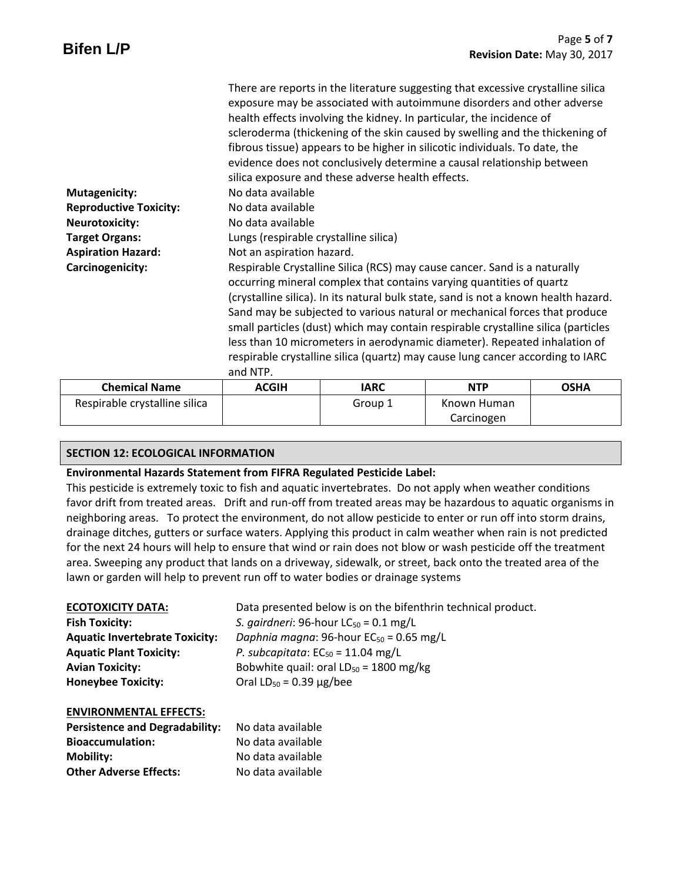| <b>Chemical Name</b>          | <b>ACGIH</b>                          | <b>IARC</b>                                                                         | <b>NTP</b> | <b>OSHA</b>                 |
|-------------------------------|---------------------------------------|-------------------------------------------------------------------------------------|------------|-----------------------------|
|                               | and NTP.                              |                                                                                     |            |                             |
|                               |                                       | respirable crystalline silica (quartz) may cause lung cancer according to IARC      |            |                             |
|                               |                                       | less than 10 micrometers in aerodynamic diameter). Repeated inhalation of           |            |                             |
|                               |                                       | small particles (dust) which may contain respirable crystalline silica (particles   |            |                             |
|                               |                                       | Sand may be subjected to various natural or mechanical forces that produce          |            |                             |
|                               |                                       | (crystalline silica). In its natural bulk state, sand is not a known health hazard. |            |                             |
|                               |                                       | occurring mineral complex that contains varying quantities of quartz                |            |                             |
| Carcinogenicity:              |                                       | Respirable Crystalline Silica (RCS) may cause cancer. Sand is a naturally           |            |                             |
| <b>Aspiration Hazard:</b>     | Not an aspiration hazard.             |                                                                                     |            |                             |
| <b>Target Organs:</b>         | Lungs (respirable crystalline silica) |                                                                                     |            |                             |
| <b>Neurotoxicity:</b>         | No data available                     |                                                                                     |            |                             |
| <b>Reproductive Toxicity:</b> | No data available                     |                                                                                     |            |                             |
| <b>Mutagenicity:</b>          | No data available                     |                                                                                     |            |                             |
|                               |                                       | silica exposure and these adverse health effects.                                   |            |                             |
|                               |                                       | evidence does not conclusively determine a causal relationship between              |            |                             |
|                               |                                       | fibrous tissue) appears to be higher in silicotic individuals. To date, the         |            |                             |
|                               |                                       | scleroderma (thickening of the skin caused by swelling and the thickening of        |            |                             |
|                               |                                       | health effects involving the kidney. In particular, the incidence of                |            |                             |
|                               |                                       | exposure may be associated with autoimmune disorders and other adverse              |            |                             |
|                               |                                       | There are reports in the literature suggesting that excessive crystalline silica    |            |                             |
|                               |                                       |                                                                                     |            |                             |
| <b>Bifen L/P</b>              |                                       |                                                                                     |            | Revision Date: May 30, 2017 |
|                               |                                       |                                                                                     |            | Page 5 of 7                 |

| <b>Chemical Name</b>          | <b>ACGIH</b> | IARC    | <b>NTP</b>  | <b>OSHA</b> |
|-------------------------------|--------------|---------|-------------|-------------|
| Respirable crystalline silica |              | Group 1 | Known Human |             |
|                               |              |         | Carcinogen  |             |

## **SECTION 12: ECOLOGICAL INFORMATION**

### **Environmental Hazards Statement from FIFRA Regulated Pesticide Label:**

This pesticide is extremely toxic to fish and aquatic invertebrates. Do not apply when weather conditions favor drift from treated areas. Drift and run-off from treated areas may be hazardous to aquatic organisms in neighboring areas. To protect the environment, do not allow pesticide to enter or run off into storm drains, drainage ditches, gutters or surface waters. Applying this product in calm weather when rain is not predicted for the next 24 hours will help to ensure that wind or rain does not blow or wash pesticide off the treatment area. Sweeping any product that lands on a driveway, sidewalk, or street, back onto the treated area of the lawn or garden will help to prevent run off to water bodies or drainage systems

| <b>ECOTOXICITY DATA:</b>              | Data presented below is on the bifenthrin technical product. |
|---------------------------------------|--------------------------------------------------------------|
| <b>Fish Toxicity:</b>                 | S. gairdneri: 96-hour $LC_{50} = 0.1$ mg/L                   |
| <b>Aquatic Invertebrate Toxicity:</b> | Daphnia magna: 96-hour $EC_{50} = 0.65$ mg/L                 |
| <b>Aquatic Plant Toxicity:</b>        | P. subcapitata: $EC_{50} = 11.04$ mg/L                       |
| <b>Avian Toxicity:</b>                | Bobwhite quail: oral $LD_{50} = 1800$ mg/kg                  |
| <b>Honeybee Toxicity:</b>             | Oral $LD_{50} = 0.39 \mu g / bee$                            |

### **ENVIRONMENTAL EFFECTS:**

| <b>Persistence and Degradability:</b> | No data available |
|---------------------------------------|-------------------|
| <b>Bioaccumulation:</b>               | No data available |
| Mobility:                             | No data available |
| <b>Other Adverse Effects:</b>         | No data available |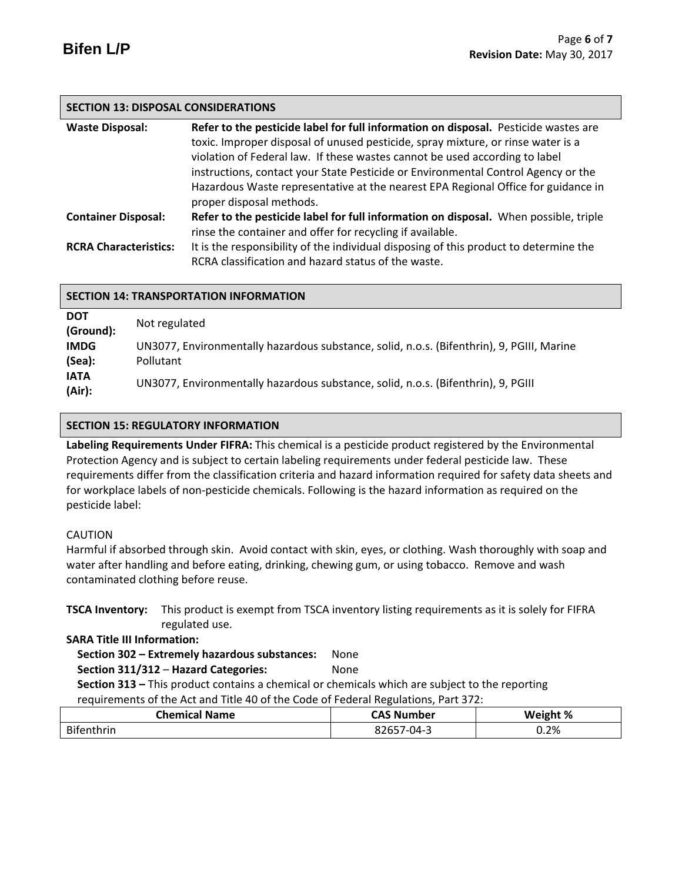## **SECTION 13: DISPOSAL CONSIDERATIONS**

| <b>Waste Disposal:</b>       | Refer to the pesticide label for full information on disposal. Pesticide wastes are   |
|------------------------------|---------------------------------------------------------------------------------------|
|                              | toxic. Improper disposal of unused pesticide, spray mixture, or rinse water is a      |
|                              | violation of Federal law. If these wastes cannot be used according to label           |
|                              | instructions, contact your State Pesticide or Environmental Control Agency or the     |
|                              | Hazardous Waste representative at the nearest EPA Regional Office for guidance in     |
|                              | proper disposal methods.                                                              |
| <b>Container Disposal:</b>   | Refer to the pesticide label for full information on disposal. When possible, triple  |
|                              | rinse the container and offer for recycling if available.                             |
| <b>RCRA Characteristics:</b> | It is the responsibility of the individual disposing of this product to determine the |
|                              | RCRA classification and hazard status of the waste.                                   |

| <b>SECTION 14: TRANSPORTATION INFORMATION</b>                   |                                                                                                                                |  |
|-----------------------------------------------------------------|--------------------------------------------------------------------------------------------------------------------------------|--|
| <b>DOT</b><br>(Ground):<br><b>IMDG</b><br>(Sea):<br><b>IATA</b> | Not regulated<br>UN3077, Environmentally hazardous substance, solid, n.o.s. (Bifenthrin), 9, PGIII, Marine<br><b>Pollutant</b> |  |
| (Air):                                                          | UN3077, Environmentally hazardous substance, solid, n.o.s. (Bifenthrin), 9, PGIII                                              |  |

## **SECTION 15: REGULATORY INFORMATION**

**Labeling Requirements Under FIFRA:** This chemical is a pesticide product registered by the Environmental Protection Agency and is subject to certain labeling requirements under federal pesticide law. These requirements differ from the classification criteria and hazard information required for safety data sheets and for workplace labels of non-pesticide chemicals. Following is the hazard information as required on the pesticide label:

## CAUTION

Harmful if absorbed through skin. Avoid contact with skin, eyes, or clothing. Wash thoroughly with soap and water after handling and before eating, drinking, chewing gum, or using tobacco. Remove and wash contaminated clothing before reuse.

**TSCA Inventory:** This product is exempt from TSCA inventory listing requirements as it is solely for FIFRA regulated use.

### **SARA Title III Information:**

# **Section 302 – Extremely hazardous substances:** None

## **Section 311/312** – **Hazard Categories:** None

 **Section 313 –** This product contains a chemical or chemicals which are subject to the reporting requirements of the Act and Title 40 of the Code of Federal Regulations, Part 372:

| <b>Chemical</b><br><b>Name</b> | umber<br>Nι<br>∼~    | Weight % |
|--------------------------------|----------------------|----------|
| <b>Bif</b><br>ıthrın           | $1 - 04 - ?$<br>⊸∠b' | 0.2%     |